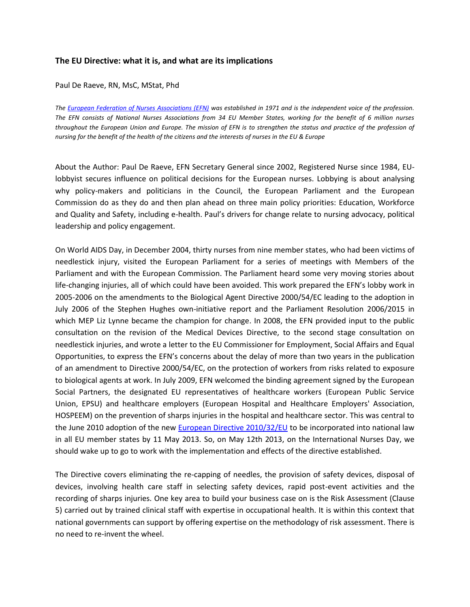## **The EU Directive: what it is, and what are its implications**

Paul De Raeve, RN, MsC, MStat, Phd

*The [European Federation of Nurses Associations \(EFN\)](http://www.efnweb.eu/) was established in 1971 and is the independent voice of the profession. The EFN consists of National Nurses Associations from 34 EU Member States, working for the benefit of 6 million nurses throughout the European Union and Europe. The mission of EFN is to strengthen the status and practice of the profession of nursing for the benefit of the health of the citizens and the interests of nurses in the EU & Europe*

About the Author: Paul De Raeve, EFN Secretary General since 2002, Registered Nurse since 1984, EUlobbyist secures influence on political decisions for the European nurses. Lobbying is about analysing why policy-makers and politicians in the Council, the European Parliament and the European Commission do as they do and then plan ahead on three main policy priorities: Education, Workforce and Quality and Safety, including e-health. Paul's drivers for change relate to nursing advocacy, political leadership and policy engagement.

On World AIDS Day, in December 2004, thirty nurses from nine member states, who had been victims of needlestick injury, visited the European Parliament for a series of meetings with Members of the Parliament and with the European Commission. The Parliament heard some very moving stories about life-changing injuries, all of which could have been avoided. This work prepared the EFN's lobby work in 2005-2006 on the amendments to the Biological Agent Directive 2000/54/EC leading to the adoption in July 2006 of the Stephen Hughes own-initiative report and the Parliament Resolution 2006/2015 in which MEP Liz Lynne became the champion for change. In 2008, the EFN provided input to the public consultation on the revision of the Medical Devices Directive, to the second stage consultation on needlestick injuries, and wrote a letter to the EU Commissioner for Employment, Social Affairs and Equal Opportunities, to express the EFN's concerns about the delay of more than two years in the publication of an amendment to Directive 2000/54/EC, on the protection of workers from risks related to exposure to biological agents at work. In July 2009, EFN welcomed the binding agreement signed by the European Social Partners, the designated EU representatives of healthcare workers (European Public Service Union, EPSU) and healthcare employers (European Hospital and Healthcare Employers' Association, HOSPEEM) on the prevention of sharps injuries in the hospital and healthcare sector. This was central to the June 2010 adoption of the new [European Directive 2010/32/EU](http://eur-lex.europa.eu/LexUriServ/LexUriServ.do?uri=OJ:L:2010:134:0066:0072:EN:PDF) to be incorporated into national law in all EU member states by 11 May 2013. So, on May 12th 2013, on the International Nurses Day, we should wake up to go to work with the implementation and effects of the directive established.

The Directive covers eliminating the re-capping of needles, the provision of safety devices, disposal of devices, involving health care staff in selecting safety devices, rapid post-event activities and the recording of sharps injuries. One key area to build your business case on is the Risk Assessment (Clause 5) carried out by trained clinical staff with expertise in occupational health. It is within this context that national governments can support by offering expertise on the methodology of risk assessment. There is no need to re-invent the wheel.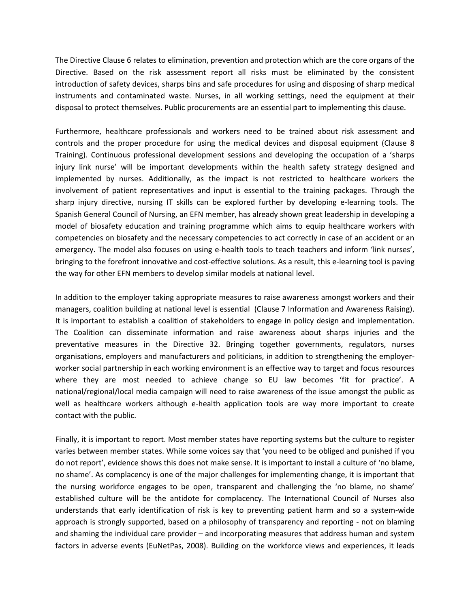The Directive Clause 6 relates to elimination, prevention and protection which are the core organs of the Directive. Based on the risk assessment report all risks must be eliminated by the consistent introduction of safety devices, sharps bins and safe procedures for using and disposing of sharp medical instruments and contaminated waste. Nurses, in all working settings, need the equipment at their disposal to protect themselves. Public procurements are an essential part to implementing this clause.

Furthermore, healthcare professionals and workers need to be trained about risk assessment and controls and the proper procedure for using the medical devices and disposal equipment (Clause 8 Training). Continuous professional development sessions and developing the occupation of a 'sharps injury link nurse' will be important developments within the health safety strategy designed and implemented by nurses. Additionally, as the impact is not restricted to healthcare workers the involvement of patient representatives and input is essential to the training packages. Through the sharp injury directive, nursing IT skills can be explored further by developing e-learning tools. The Spanish General Council of Nursing, an EFN member, has already shown great leadership in developing a model of biosafety education and training programme which aims to equip healthcare workers with competencies on biosafety and the necessary competencies to act correctly in case of an accident or an emergency. The model also focuses on using e-health tools to teach teachers and inform 'link nurses', bringing to the forefront innovative and cost-effective solutions. As a result, this e-learning tool is paving the way for other EFN members to develop similar models at national level.

In addition to the employer taking appropriate measures to raise awareness amongst workers and their managers, coalition building at national level is essential (Clause 7 Information and Awareness Raising). It is important to establish a coalition of stakeholders to engage in policy design and implementation. The Coalition can disseminate information and raise awareness about sharps injuries and the preventative measures in the Directive 32. Bringing together governments, regulators, nurses organisations, employers and manufacturers and politicians, in addition to strengthening the employerworker social partnership in each working environment is an effective way to target and focus resources where they are most needed to achieve change so EU law becomes 'fit for practice'. A national/regional/local media campaign will need to raise awareness of the issue amongst the public as well as healthcare workers although e-health application tools are way more important to create contact with the public.

Finally, it is important to report. Most member states have reporting systems but the culture to register varies between member states. While some voices say that 'you need to be obliged and punished if you do not report', evidence shows this does not make sense. It is important to install a culture of 'no blame, no shame'. As complacency is one of the major challenges for implementing change, it is important that the nursing workforce engages to be open, transparent and challenging the 'no blame, no shame' established culture will be the antidote for complacency. The International Council of Nurses also understands that early identification of risk is key to preventing patient harm and so a system-wide approach is strongly supported, based on a philosophy of transparency and reporting - not on blaming and shaming the individual care provider – and incorporating measures that address human and system factors in adverse events (EuNetPas, 2008). Building on the workforce views and experiences, it leads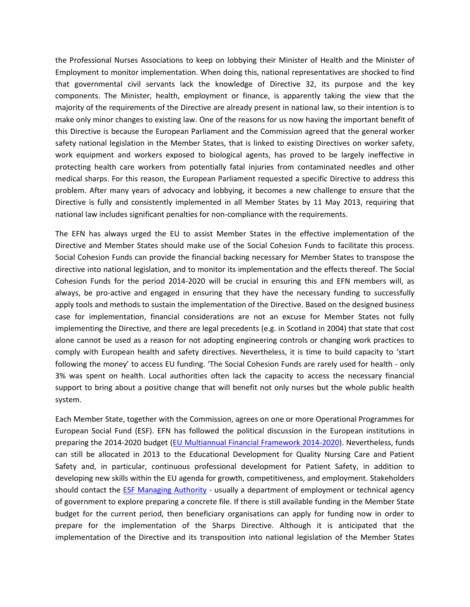the Professional Nurses Associations to keep on lobbying their Minister of Health and the Minister of Employment to monitor implementation. When doing this, national representatives are shocked to find that governmental civil servants lack the knowledge of Directive 32, its purpose and the key components. The Minister, health, employment or finance, is apparently taking the view that the majority of the requirements of the Directive are already present in national law, so their intention is to make only minor changes to existing law. One of the reasons for us now having the important benefit of this Directive is because the European Parliament and the Commission agreed that the general worker safety national legislation in the Member States, that is linked to existing Directives on worker safety, work equipment and workers exposed to biological agents, has proved to be largely ineffective in protecting health care workers from potentially fatal injuries from contaminated needles and other medical sharps. For this reason, the European Parliament requested a specific Directive to address this problem. After many years of advocacy and lobbying, it becomes a new challenge to ensure that the Directive is fully and consistently implemented in all Member States by 11 May 2013, requiring that national law includes significant penalties for non-compliance with the requirements.

The EFN has always urged the EU to assist Member States in the effective implementation of the Directive and Member States should make use of the Social Cohesion Funds to facilitate this process. Social Cohesion Funds can provide the financial backing necessary for Member States to transpose the directive into national legislation, and to monitor its implementation and the effects thereof. The Social Cohesion Funds for the period 2014-2020 will be crucial in ensuring this and EFN members will, as always, be pro-active and engaged in ensuring that they have the necessary funding to successfully apply tools and methods to sustain the implementation of the Directive. Based on the designed business case for implementation, financial considerations are not an excuse for Member States not fully implementing the Directive, and there are legal precedents (e.g. in Scotland in 2004) that state that cost alone cannot be used as a reason for not adopting engineering controls or changing work practices to comply with European health and safety directives. Nevertheless, it is time to build capacity to 'start following the money' to access EU funding. 'The Social Cohesion Funds are rarely used for health - only 3% was spent on health. Local authorities often lack the capacity to access the necessary financial support to bring about a positive change that will benefit not only nurses but the whole public health system.

Each Member State, together with the Commission, agrees on one or more Operational Programmes for European Social Fund (ESF). EFN has followed the political discussion in the European institutions in preparing the 2014-2020 budget [\(EU Multiannual Financial Framework 2014-2020\)](http://ec.europa.eu/budget/mff/index_en.cfm). Nevertheless, funds can still be allocated in 2013 to the Educational Development for Quality Nursing Care and Patient Safety and, in particular, continuous professional development for Patient Safety, in addition to developing new skills within the EU agenda for growth, competitiveness, and employment. Stakeholders should contact the [ESF Managing Authority](http://ec.europa.eu/esf/main.jsp?catId=45&langId=en) - usually a department of employment or technical agency of government to explore preparing a concrete file. If there is still available funding in the Member State budget for the current period, then beneficiary organisations can apply for funding now in order to prepare for the implementation of the Sharps Directive. Although it is anticipated that the implementation of the Directive and its transposition into national legislation of the Member States